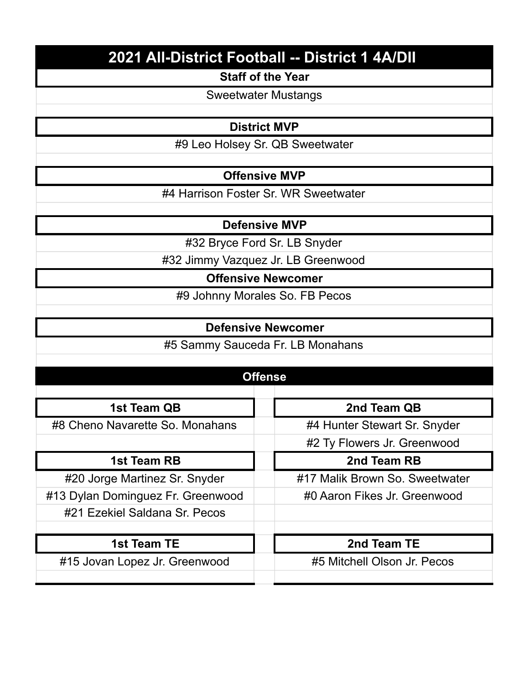# **2021 All-District Football -- District 1 4A/DII**

#### **Staff of the Year**

Sweetwater Mustangs

## **District MVP**

#9 Leo Holsey Sr. QB Sweetwater

## **Offensive MVP**

#4 Harrison Foster Sr. WR Sweetwater

## **Defensive MVP**

#32 Bryce Ford Sr. LB Snyder

#32 Jimmy Vazquez Jr. LB Greenwood

**Offensive Newcomer**

#9 Johnny Morales So. FB Pecos

#### **Defensive Newcomer**

#5 Sammy Sauceda Fr. LB Monahans

# **Offense**

| 1st Team QB                       | 2nd Team QB                    |
|-----------------------------------|--------------------------------|
| #8 Cheno Navarette So. Monahans   | #4 Hunter Stewart Sr. Snyder   |
|                                   | #2 Ty Flowers Jr. Greenwood    |
| 1st Team RB                       | 2nd Team RB                    |
| #20 Jorge Martinez Sr. Snyder     | #17 Malik Brown So. Sweetwater |
| #13 Dylan Dominguez Fr. Greenwood | #0 Aaron Fikes Jr. Greenwood   |
| #21 Ezekiel Saldana Sr. Pecos     |                                |
|                                   |                                |
| 1st Team TE                       | 2nd Team TE                    |
| #15 Jovan Lopez Jr. Greenwood     | #5 Mitchell Olson Jr. Pecos    |
|                                   |                                |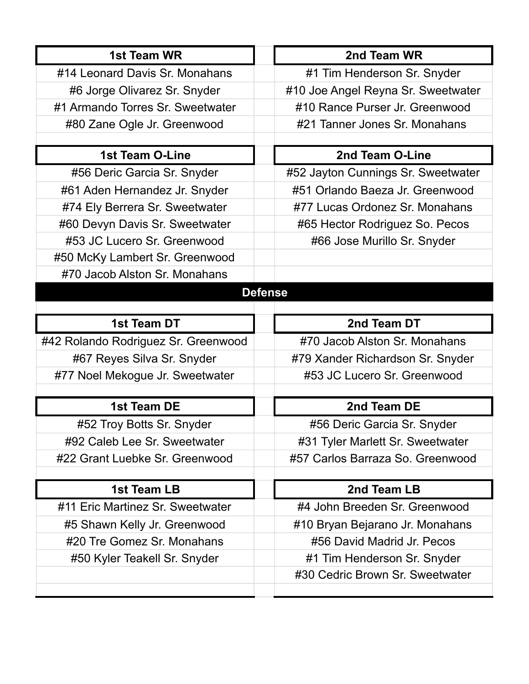| 1st Team WR                         | 2nd Team WR                        |
|-------------------------------------|------------------------------------|
| #14 Leonard Davis Sr. Monahans      | #1 Tim Henderson Sr. Snyder        |
| #6 Jorge Olivarez Sr. Snyder        | #10 Joe Angel Reyna Sr. Sweetwater |
| #1 Armando Torres Sr. Sweetwater    | #10 Rance Purser Jr. Greenwood     |
| #80 Zane Ogle Jr. Greenwood         | #21 Tanner Jones Sr. Monahans      |
|                                     |                                    |
| <b>1st Team O-Line</b>              | 2nd Team O-Line                    |
| #56 Deric Garcia Sr. Snyder         | #52 Jayton Cunnings Sr. Sweetwater |
| #61 Aden Hernandez Jr. Snyder       | #51 Orlando Baeza Jr. Greenwood    |
| #74 Ely Berrera Sr. Sweetwater      | #77 Lucas Ordonez Sr. Monahans     |
| #60 Devyn Davis Sr. Sweetwater      | #65 Hector Rodriguez So. Pecos     |
| #53 JC Lucero Sr. Greenwood         | #66 Jose Murillo Sr. Snyder        |
| #50 McKy Lambert Sr. Greenwood      |                                    |
| #70 Jacob Alston Sr. Monahans       |                                    |
|                                     | <b>Defense</b>                     |
|                                     |                                    |
| 1st Team DT                         | 2nd Team DT                        |
| #42 Rolando Rodriguez Sr. Greenwood | #70 Jacob Alston Sr. Monahans      |
| #67 Reyes Silva Sr. Snyder          | #79 Xander Richardson Sr. Snyder   |
| #77 Noel Mekogue Jr. Sweetwater     | #53 JC Lucero Sr. Greenwood        |
|                                     |                                    |
| 1st Team DE                         | 2nd Team DE                        |
| #52 Troy Botts Sr. Snyder           | #56 Deric Garcia Sr. Snyder        |
| #92 Caleb Lee Sr. Sweetwater        | #31 Tyler Marlett Sr. Sweetwater   |
| #22 Grant Luebke Sr. Greenwood      | #57 Carlos Barraza So. Greenwood   |
|                                     |                                    |
| 1st Team LB                         | 2nd Team LB                        |
| #11 Eric Martinez Sr. Sweetwater    | #4 John Breeden Sr. Greenwood      |
| #5 Shawn Kelly Jr. Greenwood        | #10 Bryan Bejarano Jr. Monahans    |
| #20 Tre Gomez Sr. Monahans          | #56 David Madrid Jr. Pecos         |
| #50 Kyler Teakell Sr. Snyder        | #1 Tim Henderson Sr. Snyder        |
|                                     | #30 Cedric Brown Sr. Sweetwater    |
|                                     |                                    |